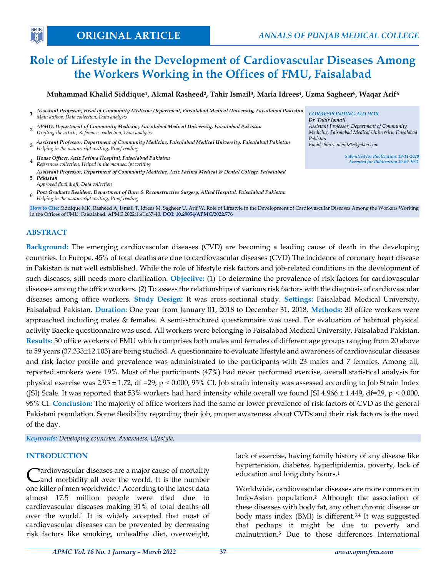*Dr. Tahir Ismail*

*Pakistan*

*Assistant Professor, Department of Community Medicine, Faisalabad Medical University, Faisalabad* 

> *Submitted for Publication: 19-11-2020 Accepted for Publication 30-09-2021*

*Email: tahirismail480@yahoo.com*

# **Role of Lifestyle in the Development of Cardiovascular Diseases Among the Workers Working in the Offices of FMU, Faisalabad**

## **Muhammad Khalid Siddique<sup>1</sup> , Akmal Rasheed<sup>2</sup> , Tahir Ismail<sup>3</sup> , Maria Idrees<sup>4</sup> , Uzma Sagheer<sup>5</sup> , Waqar Arif<sup>6</sup>**

- **1** *Assistant Professor, Head of Community Medicine Department, Faisalabad Medical University, Faisalabad Pakistan Main author, Data collection, Data analysis CORRESPONDING AUTHOR*
- **2** *Drafting the article, References collection, Data analysis APMO, Department of Community Medicine, Faisalabad Medical University, Faisalabad Pakistan*
- **3** *Assistant Professor, Department of Community Medicine, Faisalabad Medical University, Faisalabad Pakistan Helping in the manuscript writing, Proof reading*
- **4** *House Officer, Aziz Fatima Hospital, Faisalabad Pakistan References collection, Helped in the manuscript writing*
- **5** *Pakistan Assistant Professor, Department of Community Medicine, Aziz Fatima Medical & Dental College, Faisalabad*
- *Approved final draft, Data collection*

**6** *Helping in the manuscript writing, Proof reading Post Graduate Resident, Department of Burn & Reconstructive Surgery, Allied Hospital, Faisalabad Pakistan*

**How to Cite:** Siddique MK, Rasheed A, Ismail T, Idrees M, Sagheer U, Arif W. Role of Lifestyle in the Development of Cardiovascular Diseases Among the Workers Working in the Offices of FMU, Faisalabad. APMC 2022;16(1):37-40. **DOI: 10.29054/APMC/2022.776**

## **ABSTRACT**

**APM** 

**Background:** The emerging cardiovascular diseases (CVD) are becoming a leading cause of death in the developing countries. In Europe, 45% of total deaths are due to cardiovascular diseases (CVD) The incidence of coronary heart disease in Pakistan is not well established. While the role of lifestyle risk factors and job-related conditions in the development of such diseases, still needs more clarification. **Objective:** (1) To determine the prevalence of risk factors for cardiovascular diseases among the office workers. (2) To assess the relationships of various risk factors with the diagnosis of cardiovascular diseases among office workers. **Study Design:** It was cross-sectional study. **Settings:** Faisalabad Medical University, Faisalabad Pakistan. **Duration:** One year from January 01, 2018 to December 31, 2018. **Methods:** 30 office workers were approached including males & females. A semi-structured questionnaire was used. For evaluation of habitual physical activity Baecke questionnaire was used. All workers were belonging to Faisalabad Medical University, Faisalabad Pakistan. **Results:** 30 office workers of FMU which comprises both males and females of different age groups ranging from 20 above to 59 years (37.333±12.103) are being studied. A questionnaire to evaluate lifestyle and awareness of cardiovascular diseases and risk factor profile and prevalence was administrated to the participants with 23 males and 7 females. Among all, reported smokers were 19%. Most of the participants (47%) had never performed exercise, overall statistical analysis for physical exercise was  $2.95 \pm 1.72$ , df =29, p < 0.000, 95% CI. Job strain intensity was assessed according to Job Strain Index (JSI) Scale. It was reported that 53% workers had hard intensity while overall we found JSI 4.966  $\pm$  1.449, df=29, p < 0.000, 95% CI. **Conclusion:** The majority of office workers had the same or lower prevalence of risk factors of CVD as the general Pakistani population. Some flexibility regarding their job, proper awareness about CVDs and their risk factors is the need of the day.

*Keywords: Developing countries, Awareness, Lifestyle.*

#### **INTRODUCTION**

ardiovascular diseases are a major cause of mortality and morbidity all over the world. It is the number one killer of men worldwide.<sup>1</sup> According to the latest data almost 17.5 million people were died due to cardiovascular diseases making 31% of total deaths all over the world.<sup>1</sup> It is widely accepted that most of cardiovascular diseases can be prevented by decreasing risk factors like smoking, unhealthy diet, overweight, C

lack of exercise, having family history of any disease like hypertension, diabetes, hyperlipidemia, poverty, lack of education and long duty hours.<sup>1</sup>

Worldwide, cardiovascular diseases are more common in Indo-Asian population.<sup>2</sup> Although the association of these diseases with body fat, any other chronic disease or body mass index (BMI) is different.<sup>3,4</sup> It was suggested that perhaps it might be due to poverty and malnutrition.<sup>5</sup> Due to these differences International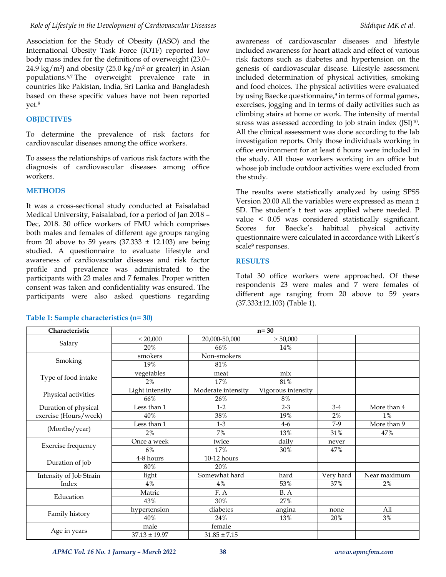Association for the Study of Obesity (IASO) and the International Obesity Task Force (IOTF) reported low body mass index for the definitions of overweight (23.0–  $24.9 \text{ kg/m}^2$ ) and obesity (25.0 kg/m<sup>2</sup> or greater) in Asian populations.6,7 The overweight prevalence rate in countries like Pakistan, India, Sri Lanka and Bangladesh based on these specific values have not been reported yet.<sup>8</sup>

## **OBJECTIVES**

To determine the prevalence of risk factors for cardiovascular diseases among the office workers.

To assess the relationships of various risk factors with the diagnosis of cardiovascular diseases among office workers.

## **METHODS**

It was a cross-sectional study conducted at Faisalabad Medical University, Faisalabad, for a period of Jan 2018 – Dec, 2018. 30 office workers of FMU which comprises both males and females of different age groups ranging from 20 above to 59 years  $(37.333 \pm 12.103)$  are being studied. A questionnaire to evaluate lifestyle and awareness of cardiovascular diseases and risk factor profile and prevalence was administrated to the participants with 23 males and 7 females. Proper written consent was taken and confidentiality was ensured. The participants were also asked questions regarding included awareness for heart attack and effect of various risk factors such as diabetes and hypertension on the genesis of cardiovascular disease. Lifestyle assessment included determination of physical activities, smoking and food choices. The physical activities were evaluated by using Baecke questionnaire, 9 in terms of formal games, exercises, jogging and in terms of daily activities such as climbing stairs at home or work. The intensity of mental stress was assessed according to job strain index (JSI)<sup>10</sup>. All the clinical assessment was done according to the lab investigation reports. Only those individuals working in office environment for at least 6 hours were included in the study. All those workers working in an office but whose job include outdoor activities were excluded from the study.

The results were statistically analyzed by using SPSS Version 20.00 All the variables were expressed as mean ± SD. The student's t test was applied where needed. P value < 0.05 was considered statistically significant. Scores for Baecke's habitual physical activity questionnaire were calculated in accordance with Likert's scale<sup>9</sup> responses.

## **RESULTS**

Total 30 office workers were approached. Of these respondents 23 were males and 7 were females of different age ranging from 20 above to 59 years (37.333±12.103) (Table 1).

| Characteristic          | $n = 30$          |                    |                    |           |              |  |  |  |  |
|-------------------------|-------------------|--------------------|--------------------|-----------|--------------|--|--|--|--|
|                         | < 20,000          | 20,000-50,000      | > 50,000           |           |              |  |  |  |  |
| Salary                  | 20%               | 66%                | 14%                |           |              |  |  |  |  |
| Smoking                 | smokers           | Non-smokers        |                    |           |              |  |  |  |  |
|                         | 19%               | 81%                |                    |           |              |  |  |  |  |
| Type of food intake     | vegetables        | meat               | mix                |           |              |  |  |  |  |
|                         | 2%                | 17%                | 81%                |           |              |  |  |  |  |
| Physical activities     | Light intensity   | Moderate intensity | Vigorous intensity |           |              |  |  |  |  |
|                         | 66%               | 26%                | 8%                 |           |              |  |  |  |  |
| Duration of physical    | Less than 1       | $1-2$              | $2 - 3$            | $3-4$     | More than 4  |  |  |  |  |
| exercise (Hours/week)   | 40%               | 38%                | 19%                | $2\%$     | $1\%$        |  |  |  |  |
| (Months/year)           | Less than 1       | $1-3$              | $4-6$              | $7-9$     | More than 9  |  |  |  |  |
|                         | 2%                | 7%                 | 13%                | 31%       | 47%          |  |  |  |  |
| Exercise frequency      | Once a week       | twice              | daily              | never     |              |  |  |  |  |
|                         | 6%                | 17%                | 30%                | 47%       |              |  |  |  |  |
| Duration of job         | 4-8 hours         | 10-12 hours        |                    |           |              |  |  |  |  |
|                         | 80%               | 20%                |                    |           |              |  |  |  |  |
| Intensity of Job Strain | light             | Somewhat hard      | hard               | Very hard | Near maximum |  |  |  |  |
| Index                   | 4%                | 4%                 | 53%                | 37%       | $2\%$        |  |  |  |  |
| Education               | Matric            | F.A                | B. A               |           |              |  |  |  |  |
|                         | 43%               | 30%                | 27%                |           |              |  |  |  |  |
| Family history          | hypertension      | diabetes           | angina             | none      | All          |  |  |  |  |
|                         | 40%               | 24%                | 13%                | 20%       | 3%           |  |  |  |  |
| Age in years            | male              | female             |                    |           |              |  |  |  |  |
|                         | $37.13 \pm 19.97$ | $31.85 \pm 7.15$   |                    |           |              |  |  |  |  |

## **Table 1: Sample characteristics (n= 30)**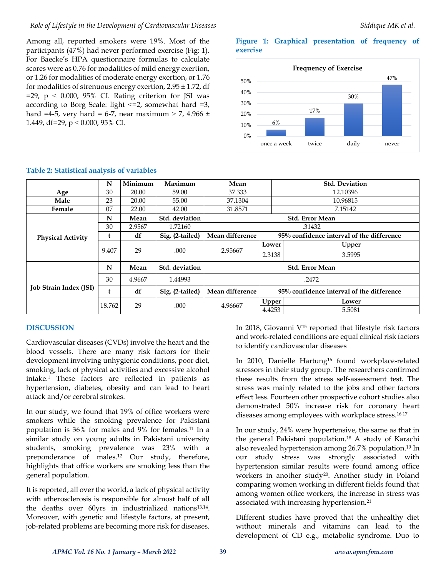Among all, reported smokers were 19%. Most of the participants (47%) had never performed exercise (Fig: 1). For Baecke's HPA questionnaire formulas to calculate scores were as 0.76 for modalities of mild energy exertion, or 1.26 for modalities of moderate energy exertion, or 1.76 for modalities of strenuous energy exertion, 2.95 ± 1.72, df  $=$ 29, p < 0.000, 95% CI. Rating criterion for JSI was according to Borg Scale: light  $\leq$  =2, somewhat hard =3, hard =4-5, very hard = 6-7, near maximum > 7, 4.966  $\pm$ 1.449, df=29,  $p < 0.000$ , 95% CI.

# **Figure 1: Graphical presentation of frequency of exercise**



|                               | N            | Minimum | Maximum         | Mean                                                         |        | <b>Std. Deviation</b>                     |  |
|-------------------------------|--------------|---------|-----------------|--------------------------------------------------------------|--------|-------------------------------------------|--|
| Age                           | 30           | 20.00   | 59.00           | 37.333                                                       |        | 12.10396                                  |  |
| Male                          | 23           | 20.00   | 55.00           | 37.1304                                                      |        | 10.96815                                  |  |
| Female                        | 07           | 22.00   | 42.00           | 31.8571                                                      |        | 7.15142                                   |  |
|                               | N            | Mean    | Std. deviation  | <b>Std. Error Mean</b>                                       |        |                                           |  |
| <b>Physical Activity</b>      | 30           | 2.9567  | 1.72160         | .31432                                                       |        |                                           |  |
|                               | t            | df      | Sig. (2-tailed) | Mean difference                                              |        | 95% confidence interval of the difference |  |
|                               | 29<br>9.407  |         |                 |                                                              | Lower  | Upper                                     |  |
|                               |              | .000    | 2.95667         | 2.3138                                                       | 3.5995 |                                           |  |
|                               | N            | Mean    | Std. deviation  | <b>Std. Error Mean</b>                                       |        |                                           |  |
| <b>Job Strain Index (JSI)</b> | 30           | 4.9667  | 1.44993         | .2472                                                        |        |                                           |  |
|                               | t            | df      | Sig. (2-tailed) | Mean difference<br>95% confidence interval of the difference |        |                                           |  |
|                               | 29<br>18.762 |         | .000            | 4.96667                                                      | Upper  | Lower                                     |  |
|                               |              |         |                 |                                                              | 4.4253 | 5.5081                                    |  |

# **Table 2: Statistical analysis of variables**

## **DISCUSSION**

Cardiovascular diseases (CVDs) involve the heart and the blood vessels. There are many risk factors for their development involving unhygienic conditions, poor diet, smoking, lack of physical activities and excessive alcohol intake.<sup>1</sup> These factors are reflected in patients as hypertension, diabetes, obesity and can lead to heart attack and/or cerebral strokes.

In our study, we found that 19% of office workers were smokers while the smoking prevalence for Pakistani population is 36% for males and 9% for females.<sup>11</sup> In a similar study on young adults in Pakistani university students, smoking prevalence was 23% with a preponderance of males. <sup>12</sup> Our study, therefore, highlights that office workers are smoking less than the general population.

It is reported, all over the world, a lack of physical activity with atherosclerosis is responsible for almost half of all the deaths over 60yrs in industrialized nations13,14 . Moreover, with genetic and lifestyle factors, at present, job-related problems are becoming more risk for diseases.

In 2018, Giovanni V<sup>15</sup> reported that lifestyle risk factors and work-related conditions are equal clinical risk factors to identify cardiovascular diseases

In 2010, Danielle Hartung<sup>16</sup> found workplace-related stressors in their study group. The researchers confirmed these results from the stress self-assessment test. The stress was mainly related to the jobs and other factors effect less. Fourteen other prospective cohort studies also demonstrated 50% increase risk for coronary heart diseases among employees with workplace stress.16,17

In our study, 24% were hypertensive, the same as that in the general Pakistani population.<sup>18</sup> A study of Karachi also revealed hypertension among 26.7% population. <sup>19</sup> In our study stress was strongly associated with hypertension similar results were found among office workers in another study<sup>20</sup>. Another study in Poland comparing women working in different fields found that among women office workers, the increase in stress was associated with increasing hypertension.<sup>21</sup>

Different studies have proved that the unhealthy diet without minerals and vitamins can lead to the development of CD e.g., metabolic syndrome. Duo to